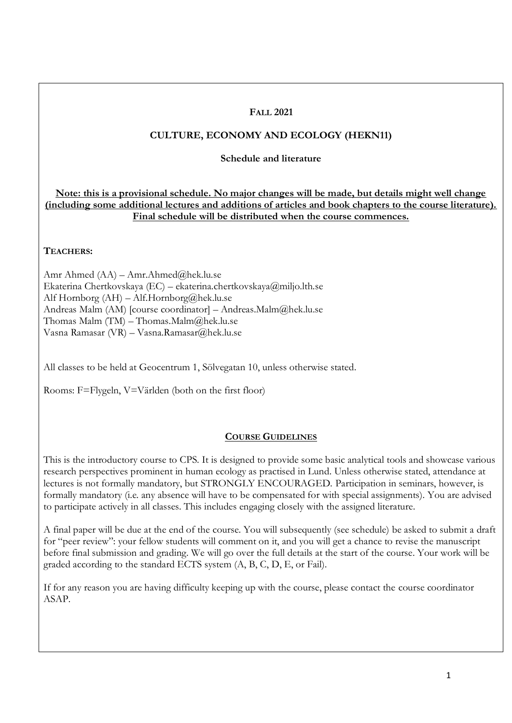### **FALL 2021**

# **CULTURE, ECONOMY AND ECOLOGY (HEKN11)**

#### **Schedule and literature**

**Note: this is a provisional schedule. No major changes will be made, but details might well change (including some additional lectures and additions of articles and book chapters to the course literature). Final schedule will be distributed when the course commences.**

#### **TEACHERS:**

Amr Ahmed (AA) – Amr.Ahmed@hek.lu.se Ekaterina Chertkovskaya (EC) – ekaterina.chertkovskaya@miljo.lth.se Alf Hornborg (AH) – Alf.Hornborg@hek.lu.se Andreas Malm (AM) [course coordinator] – Andreas.Malm@hek.lu.se Thomas Malm (TM) – Thomas.Malm@hek.lu.se Vasna Ramasar (VR) – Vasna.Ramasar@hek.lu.se

All classes to be held at Geocentrum 1, Sölvegatan 10, unless otherwise stated.

Rooms: F=Flygeln, V=Världen (both on the first floor)

## **COURSE GUIDELINES**

This is the introductory course to CPS. It is designed to provide some basic analytical tools and showcase various research perspectives prominent in human ecology as practised in Lund. Unless otherwise stated, attendance at lectures is not formally mandatory, but STRONGLY ENCOURAGED. Participation in seminars, however, is formally mandatory (i.e. any absence will have to be compensated for with special assignments). You are advised to participate actively in all classes. This includes engaging closely with the assigned literature.

A final paper will be due at the end of the course. You will subsequently (see schedule) be asked to submit a draft for "peer review": your fellow students will comment on it, and you will get a chance to revise the manuscript before final submission and grading. We will go over the full details at the start of the course. Your work will be graded according to the standard ECTS system (A, B, C, D, E, or Fail).

If for any reason you are having difficulty keeping up with the course, please contact the course coordinator ASAP.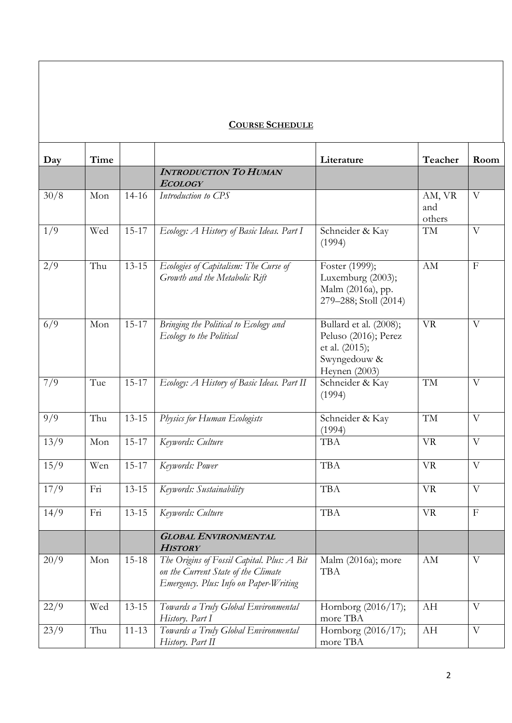# **COURSE SCHEDULE**

| Day  | Time |           |                                                                                                                             | Literature                                                                                        | Teacher                 | Room           |
|------|------|-----------|-----------------------------------------------------------------------------------------------------------------------------|---------------------------------------------------------------------------------------------------|-------------------------|----------------|
|      |      |           | <b>INTRODUCTION TO HUMAN</b><br><b>ECOLOGY</b>                                                                              |                                                                                                   |                         |                |
| 30/8 | Mon  | $14-16$   | Introduction to CPS                                                                                                         |                                                                                                   | AM, VR<br>and<br>others | $\overline{V}$ |
| 1/9  | Wed  | $15 - 17$ | Ecology: A History of Basic Ideas. Part I                                                                                   | Schneider & Kay<br>(1994)                                                                         | TM                      | V              |
| 2/9  | Thu  | $13 - 15$ | Ecologies of Capitalism: The Curse of<br>Growth and the Metabolic Rift                                                      | Foster (1999);<br>Luxemburg (2003);<br>Malm (2016a), pp.<br>279-288; Stoll (2014)                 | AM                      | $\mathbf{F}$   |
| 6/9  | Mon  | $15 - 17$ | Bringing the Political to Ecology and<br>Ecology to the Political                                                           | Bullard et al. (2008);<br>Peluso (2016); Perez<br>et al. (2015);<br>Swyngedouw &<br>Heynen (2003) | <b>VR</b>               | $\overline{V}$ |
| 7/9  | Tue  | $15 - 17$ | Ecology: A History of Basic Ideas. Part II                                                                                  | Schneider & Kay<br>(1994)                                                                         | TM                      | V              |
| 9/9  | Thu  | $13 - 15$ | Physics for Human Ecologists                                                                                                | Schneider & Kay<br>(1994)                                                                         | TM                      | V              |
| 13/9 | Mon  | $15 - 17$ | Keywords: Culture                                                                                                           | <b>TBA</b>                                                                                        | <b>VR</b>               | $\overline{V}$ |
| 15/9 | Wen  | $15 - 17$ | Keywords: Power                                                                                                             | <b>TBA</b>                                                                                        | <b>VR</b>               | V              |
| 17/9 | Fri  | $13 - 15$ | Keywords: Sustainability                                                                                                    | <b>TBA</b>                                                                                        | <b>VR</b>               | V              |
| 14/9 | Fri  | $13 - 15$ | Keywords: Culture                                                                                                           | <b>TBA</b>                                                                                        | <b>VR</b>               | $\mathbf{F}$   |
|      |      |           | <b>GLOBAL ENVIRONMENTAL</b><br><b>HISTORY</b>                                                                               |                                                                                                   |                         |                |
| 20/9 | Mon  | 15-18     | The Origins of Fossil Capital. Plus: A Bit<br>on the Current State of the Climate<br>Emergency. Plus: Info on Paper-Writing | Malm (2016a); more<br><b>TBA</b>                                                                  | AM                      | V              |
| 22/9 | Wed  | $13 - 15$ | Towards a Truly Global Environmental<br>History. Part I                                                                     | Homborg (2016/17);<br>more TBA                                                                    | AH                      | V              |
| 23/9 | Thu  | $11 - 13$ | Towards a Truly Global Environmental<br>History. Part II                                                                    | Hornborg (2016/17);<br>more TBA                                                                   | AH                      | V              |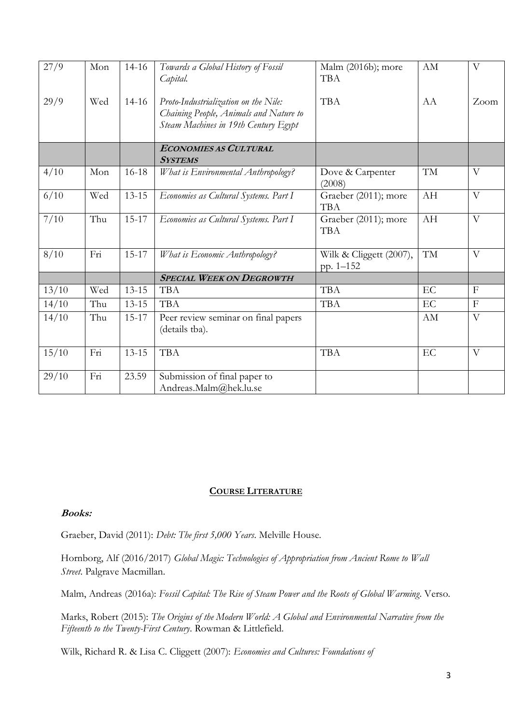| 27/9  | Mon | $14 - 16$ | Towards a Global History of Fossil     | Malm (2016b); more      | AM        | $\overline{\mathrm{V}}$   |
|-------|-----|-----------|----------------------------------------|-------------------------|-----------|---------------------------|
|       |     |           | Capital.                               | <b>TBA</b>              |           |                           |
|       |     |           |                                        |                         |           |                           |
| 29/9  | Wed | $14-16$   | Proto-Industrialization on the Nile:   | <b>TBA</b>              | AA        | Zoom                      |
|       |     |           | Chaining People, Animals and Nature to |                         |           |                           |
|       |     |           | Steam Machines in 19th Century Egypt   |                         |           |                           |
|       |     |           | <b>ECONOMIES AS CULTURAL</b>           |                         |           |                           |
|       |     |           | <b>SYSTEMS</b>                         |                         |           |                           |
| 4/10  | Mon | $16-18$   | What is Environmental Anthropology?    | Dove & Carpenter        | TM        | V                         |
|       |     |           |                                        | (2008)                  |           |                           |
| 6/10  | Wed | $13 - 15$ | Economies as Cultural Systems. Part I  | Graeber (2011); more    | AH        | $\mathbf{V}$              |
|       |     |           |                                        | TBA                     |           |                           |
| 7/10  | Thu | $15 - 17$ | Economies as Cultural Systems. Part I  | Graeber (2011); more    | AH        | $\overline{V}$            |
|       |     |           |                                        | <b>TBA</b>              |           |                           |
| 8/10  | Fri | $15 - 17$ | What is Economic Anthropology?         | Wilk & Cliggett (2007), | <b>TM</b> | $\rm V$                   |
|       |     |           |                                        | pp. 1-152               |           |                           |
|       |     |           | <b>SPECIAL WEEK ON DEGROWTH</b>        |                         |           |                           |
| 13/10 | Wed | $13 - 15$ | <b>TBA</b>                             | <b>TBA</b>              | EC        | $\boldsymbol{\mathrm{F}}$ |
| 14/10 | Thu | $13 - 15$ | <b>TBA</b>                             | <b>TBA</b>              | EC        | $\mathbf F$               |
| 14/10 | Thu | $15 - 17$ | Peer review seminar on final papers    |                         | AM        | $\overline{V}$            |
|       |     |           | (details tba).                         |                         |           |                           |
|       |     |           |                                        |                         |           |                           |
| 15/10 | Fri | $13 - 15$ | <b>TBA</b>                             | <b>TBA</b>              | EC        | $\rm V$                   |
|       |     |           |                                        |                         |           |                           |
| 29/10 | Fri | 23.59     | Submission of final paper to           |                         |           |                           |
|       |     |           | Andreas.Malm@hek.lu.se                 |                         |           |                           |

#### **COURSE LITERATURE**

#### **Books:**

Graeber, David (2011): *Debt: The first 5,000 Years*. Melville House.

Hornborg, Alf (2016/2017) *Global Magic: Technologies of Appropriation from Ancient Rome to Wall Street*. Palgrave Macmillan.

Malm, Andreas (2016a): *Fossil Capital: The Rise of Steam Power and the Roots of Global Warming*. Verso.

Marks, Robert (2015): *The Origins of the Modern World: A Global and Environmental Narrative from the Fifteenth to the Twenty-First Century*. Rowman & Littlefield.

Wilk, Richard R. & Lisa C. Cliggett (2007): *Economies and Cultures: Foundations of*